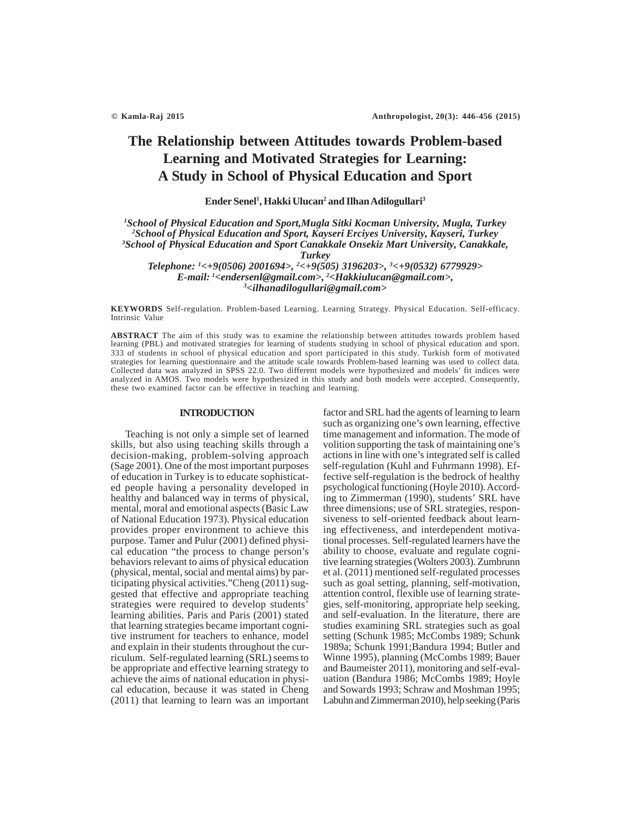# **The Relationship between Attitudes towards Problem-based Learning and Motivated Strategies for Learning: A Study in School of Physical Education and Sport**

**Ender Senel1 , Hakki Ulucan2 and Ilhan Adilogullari3**

*1 School of Physical Education and Sport,Mugla Sitki Kocman University, Mugla, Turkey 2 School of Physical Education and Sport, Kayseri Erciyes University, Kayseri, Turkey 3 School of Physical Education and Sport Canakkale Onsekiz Mart University, Canakkale,*

*Turkey*

*Telephone: 1 <+9(0506) 2001694>, 2 <+9(505) 3196203>, 3 <+9(0532) 6779929> E-mail: 1 <endersenl@gmail.com>, 2 <Hakkiulucan@gmail.com>, 3 <ilhanadilogullari@gmail.com>*

**KEYWORDS** Self-regulation. Problem-based Learning. Learning Strategy. Physical Education. Self-efficacy. Intrinsic Value

**ABSTRACT** The aim of this study was to examine the relationship between attitudes towards problem based learning (PBL) and motivated strategies for learning of students studying in school of physical education and sport. 333 of students in school of physical education and sport participated in this study. Turkish form of motivated strategies for learning questionnaire and the attitude scale towards Problem-based learning was used to collect data. Collected data was analyzed in SPSS 22.0. Two different models were hypothesized and models' fit indices were analyzed in AMOS. Two models were hypothesized in this study and both models were accepted. Consequently, these two examined factor can be effective in teaching and learning.

## **INTRODUCTION**

Teaching is not only a simple set of learned skills, but also using teaching skills through a decision-making, problem-solving approach (Sage 2001). One of the most important purposes of education in Turkey is to educate sophisticated people having a personality developed in healthy and balanced way in terms of physical, mental, moral and emotional aspects (Basic Law of National Education 1973). Physical education provides proper environment to achieve this purpose. Tamer and Pulur (2001) defined physical education "the process to change person's behaviors relevant to aims of physical education (physical, mental, social and mental aims) by participating physical activities."Cheng (2011) suggested that effective and appropriate teaching strategies were required to develop students' learning abilities. Paris and Paris (2001) stated that learning strategies became important cognitive instrument for teachers to enhance, model and explain in their students throughout the curriculum. Self-regulated learning (SRL) seems to be appropriate and effective learning strategy to achieve the aims of national education in physical education, because it was stated in Cheng (2011) that learning to learn was an important factor and SRL had the agents of learning to learn such as organizing one's own learning, effective time management and information. The mode of volition supporting the task of maintaining one's actions in line with one's integrated self is called self-regulation (Kuhl and Fuhrmann 1998). Effective self-regulation is the bedrock of healthy psychological functioning (Hoyle 2010). According to Zimmerman (1990), students' SRL have three dimensions; use of SRL strategies, responsiveness to self-oriented feedback about learning effectiveness, and interdependent motivational processes. Self-regulated learners have the ability to choose, evaluate and regulate cognitive learning strategies (Wolters 2003). Zumbrunn et al. (2011) mentioned self-regulated processes such as goal setting, planning, self-motivation, attention control, flexible use of learning strategies, self-monitoring, appropriate help seeking, and self-evaluation. In the literature, there are studies examining SRL strategies such as goal setting (Schunk 1985; McCombs 1989; Schunk 1989a; Schunk 1991;Bandura 1994; Butler and Winne 1995), planning (McCombs 1989; Bauer and Baumeister 2011), monitoring and self-evaluation (Bandura 1986; McCombs 1989; Hoyle and Sowards 1993; Schraw and Moshman 1995; Labuhn and Zimmerman 2010), help seeking (Paris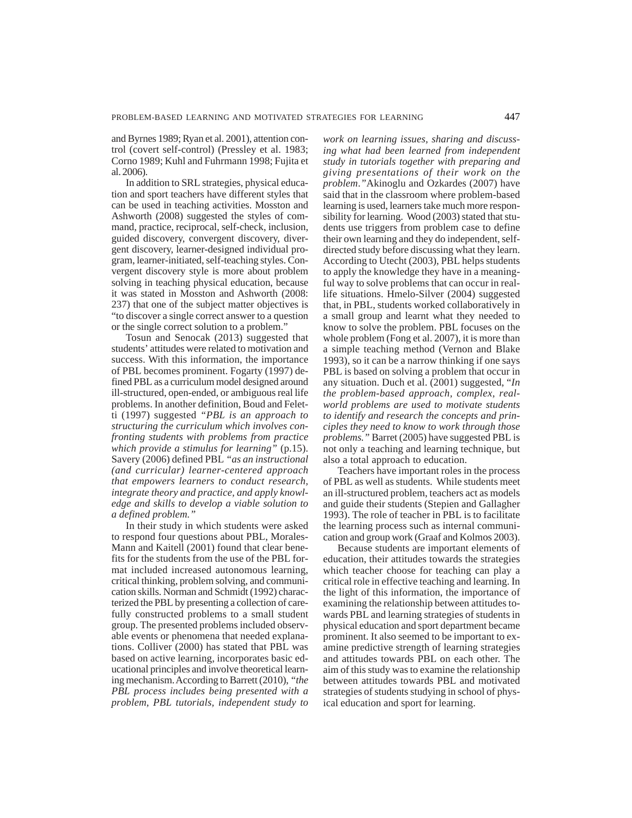and Byrnes 1989; Ryan et al. 2001), attention control (covert self-control) (Pressley et al. 1983; Corno 1989; Kuhl and Fuhrmann 1998; Fujita et al. 2006).

In addition to SRL strategies, physical education and sport teachers have different styles that can be used in teaching activities. Mosston and Ashworth (2008) suggested the styles of command, practice, reciprocal, self-check, inclusion, guided discovery, convergent discovery, divergent discovery, learner-designed individual program, learner-initiated, self-teaching styles. Convergent discovery style is more about problem solving in teaching physical education, because it was stated in Mosston and Ashworth (2008: 237) that one of the subject matter objectives is "to discover a single correct answer to a question or the single correct solution to a problem."

Tosun and Senocak (2013) suggested that students' attitudes were related to motivation and success. With this information, the importance of PBL becomes prominent. Fogarty (1997) defined PBL as a curriculum model designed around ill-structured, open-ended, or ambiguous real life problems. In another definition, Boud and Feletti (1997) suggested *"PBL is an approach to structuring the curriculum which involves confronting students with problems from practice which provide a stimulus for learning"* (p.15). Savery (2006) defined PBL *"as an instructional (and curricular) learner-centered approach that empowers learners to conduct research, integrate theory and practice, and apply knowledge and skills to develop a viable solution to a defined problem."*

In their study in which students were asked to respond four questions about PBL, Morales-Mann and Kaitell (2001) found that clear benefits for the students from the use of the PBL format included increased autonomous learning, critical thinking, problem solving, and communication skills. Norman and Schmidt (1992) characterized the PBL by presenting a collection of carefully constructed problems to a small student group. The presented problems included observable events or phenomena that needed explanations. Colliver (2000) has stated that PBL was based on active learning, incorporates basic educational principles and involve theoretical learning mechanism. According to Barrett (2010), *"the PBL process includes being presented with a problem, PBL tutorials, independent study to*

*work on learning issues, sharing and discussing what had been learned from independent study in tutorials together with preparing and giving presentations of their work on the problem*.*"*Akinoglu and Ozkardes (2007) have said that in the classroom where problem-based learning is used, learners take much more responsibility for learning. Wood (2003) stated that students use triggers from problem case to define their own learning and they do independent, selfdirected study before discussing what they learn. According to Utecht (2003), PBL helps students to apply the knowledge they have in a meaningful way to solve problems that can occur in reallife situations. Hmelo-Silver (2004) suggested that, in PBL, students worked collaboratively in a small group and learnt what they needed to know to solve the problem. PBL focuses on the whole problem (Fong et al. 2007), it is more than a simple teaching method (Vernon and Blake 1993), so it can be a narrow thinking if one says PBL is based on solving a problem that occur in any situation. Duch et al. (2001) suggested, "*In the problem-based approach, complex, realworld problems are used to motivate students to identify and research the concepts and principles they need to know to work through those problems."* Barret (2005) have suggested PBL is not only a teaching and learning technique, but also a total approach to education.

Teachers have important roles in the process of PBL as well as students. While students meet an ill-structured problem, teachers act as models and guide their students (Stepien and Gallagher 1993). The role of teacher in PBL is to facilitate the learning process such as internal communication and group work (Graaf and Kolmos 2003).

Because students are important elements of education, their attitudes towards the strategies which teacher choose for teaching can play a critical role in effective teaching and learning. In the light of this information, the importance of examining the relationship between attitudes towards PBL and learning strategies of students in physical education and sport department became prominent. It also seemed to be important to examine predictive strength of learning strategies and attitudes towards PBL on each other. The aim of this study was to examine the relationship between attitudes towards PBL and motivated strategies of students studying in school of physical education and sport for learning.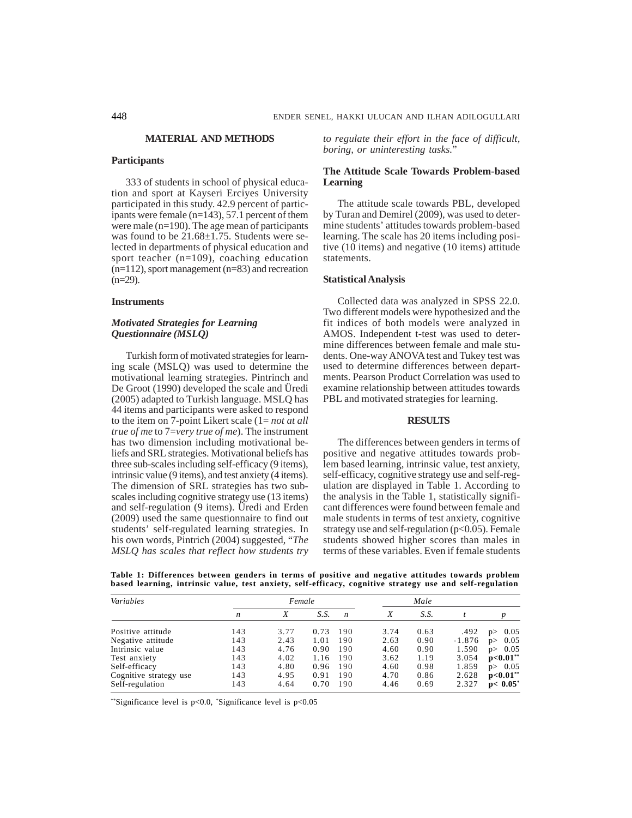#### **MATERIAL AND METHODS**

# **Participants**

333 of students in school of physical education and sport at Kayseri Erciyes University participated in this study. 42.9 percent of participants were female (n=143), 57.1 percent of them were male (n=190). The age mean of participants was found to be  $21.68 \pm 1.75$ . Students were selected in departments of physical education and sport teacher (n=109), coaching education (n=112), sport management (n=83) and recreation  $(n=29)$ .

## **Instruments**

# *Motivated Strategies for Learning Questionnaire (MSLQ)*

Turkish form of motivated strategies for learning scale (MSLQ) was used to determine the motivational learning strategies. Pintrinch and De Groot (1990) developed the scale and Üredi (2005) adapted to Turkish language. MSLQ has 44 items and participants were asked to respond to the item on 7-point Likert scale (1= *not at all true of me* to 7=*very true of me*). The instrument has two dimension including motivational beliefs and SRL strategies. Motivational beliefs has three sub-scales including self-efficacy (9 items), intrinsic value (9 items), and test anxiety (4 items). The dimension of SRL strategies has two subscales including cognitive strategy use (13 items) and self-regulation (9 items). Üredi and Erden (2009) used the same questionnaire to find out students' self-regulated learning strategies. In his own words, Pintrich (2004) suggested, "*The MSLQ has scales that reflect how students try* *to regulate their effort in the face of difficult, boring, or uninteresting tasks.*"

## **The Attitude Scale Towards Problem-based Learning**

The attitude scale towards PBL, developed by Turan and Demirel (2009), was used to determine students' attitudes towards problem-based learning. The scale has 20 items including positive (10 items) and negative (10 items) attitude statements.

### **Statistical Analysis**

Collected data was analyzed in SPSS 22.0. Two different models were hypothesized and the fit indices of both models were analyzed in AMOS. Independent t-test was used to determine differences between female and male students. One-way ANOVA test and Tukey test was used to determine differences between departments. Pearson Product Correlation was used to examine relationship between attitudes towards PBL and motivated strategies for learning.

## **RESULTS**

The differences between genders in terms of positive and negative attitudes towards problem based learning, intrinsic value, test anxiety, self-efficacy, cognitive strategy use and self-regulation are displayed in Table 1. According to the analysis in the Table 1, statistically significant differences were found between female and male students in terms of test anxiety, cognitive strategy use and self-regulation  $(p<0.05)$ . Female students showed higher scores than males in terms of these variables. Even if female students

**Table 1: Differences between genders in terms of positive and negative attitudes towards problem based learning, intrinsic value, test anxiety, self-efficacy, cognitive strategy use and self-regulation**

| Variables              | Female           |      |      |                  |      | Male |          |             |
|------------------------|------------------|------|------|------------------|------|------|----------|-------------|
|                        | $\boldsymbol{n}$ | X    | S.S. | $\boldsymbol{n}$ | X    | S.S. |          |             |
| Positive attitude      | 143              | 3.77 | 0.73 | 190              | 3.74 | 0.63 | .492     | 0.05<br>p   |
| Negative attitude      | 143              | 2.43 | 1.01 | 190              | 2.63 | 0.90 | $-1.876$ | 0.05<br>p   |
| Intrinsic value        | 143              | 4.76 | 0.90 | 190              | 4.60 | 0.90 | 1.590    | 0.05<br>D   |
| Test anxiety           | 143              | 4.02 | 1.16 | 190              | 3.62 | 1.19 | 3.054    | $p<0.01**$  |
| Self-efficacy          | 143              | 4.80 | 0.96 | 190              | 4.60 | 0.98 | 1.859    | 0.05<br>D   |
| Cognitive strategy use | 143              | 4.95 | 0.91 | 190              | 4.70 | 0.86 | 2.628    | $p<0.01**$  |
| Self-regulation        | 143              | 4.64 | 0.70 | 190              | 4.46 | 0.69 | 2.327    | $p< 0.05^*$ |

\*\*Significance level is p<0.0, \* Significance level is p<0.05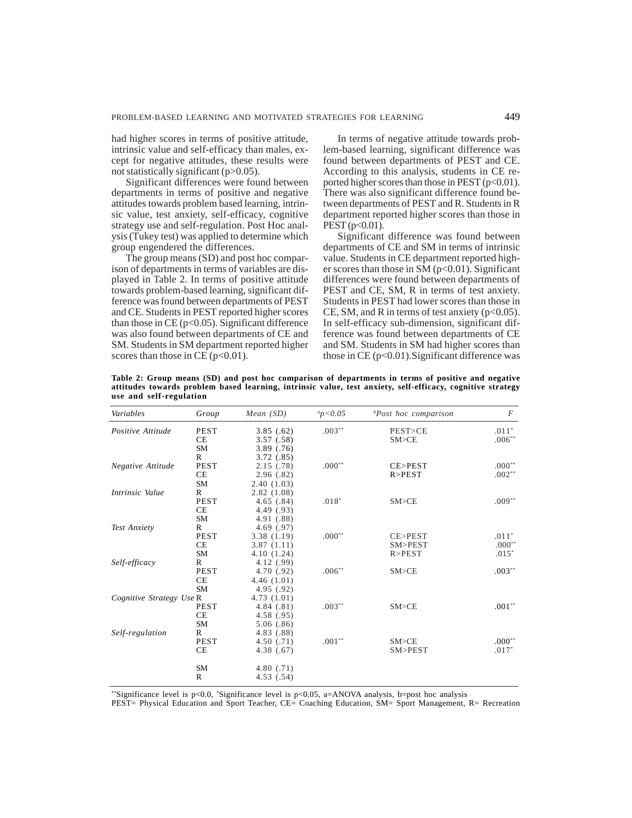had higher scores in terms of positive attitude, intrinsic value and self-efficacy than males, except for negative attitudes, these results were not statistically significant (p>0.05).

Significant differences were found between departments in terms of positive and negative attitudes towards problem based learning, intrinsic value, test anxiety, self-efficacy, cognitive strategy use and self-regulation. Post Hoc analysis (Tukey test) was applied to determine which group engendered the differences.

The group means (SD) and post hoc comparison of departments in terms of variables are displayed in Table 2. In terms of positive attitude towards problem-based learning, significant difference was found between departments of PEST and CE. Students in PEST reported higher scores than those in  $CE$  ( $p<0.05$ ). Significant difference was also found between departments of CE and SM. Students in SM department reported higher scores than those in CE ( $p<0.01$ ).

In terms of negative attitude towards problem-based learning, significant difference was found between departments of PEST and CE. According to this analysis, students in CE reported higher scores than those in PEST  $(p<0.01)$ . There was also significant difference found between departments of PEST and R. Students in R department reported higher scores than those in  $PEST (p<0.01)$ .

Significant difference was found between departments of CE and SM in terms of intrinsic value. Students in CE department reported higher scores than those in SM (p<0.01). Significant differences were found between departments of PEST and CE, SM, R in terms of test anxiety. Students in PEST had lower scores than those in CE, SM, and R in terms of test anxiety  $(p<0.05)$ . In self-efficacy sub-dimension, significant difference was found between departments of CE and SM. Students in SM had higher scores than those in  $CE$  ( $p<0.01$ ). Significant difference was

**Table 2: Group means (SD) and post hoc comparison of departments in terms of positive and negative attitudes towards problem based learning, intrinsic value, test anxiety, self-efficacy, cognitive strategy use and self-regulation**

| Variables<br>Group       |              | Mean $(SD)$ | $a_p < 0.05$ | <sup>b</sup> Post hoc comparison | $\overline{F}$ |
|--------------------------|--------------|-------------|--------------|----------------------------------|----------------|
| Positive Attitude        | <b>PEST</b>  | 3.85(.62)   | $.003**$     | PEST>CE                          | $.011*$        |
|                          | <b>CE</b>    | 3.57(.58)   |              | SM > CE                          | $.006**$       |
|                          | <b>SM</b>    | 3.89(0.76)  |              |                                  |                |
|                          | R            | 3.72(.85)   |              |                                  |                |
| Negative Attitude        | <b>PEST</b>  | 2.15(.78)   | $.000**$     | CE>PEST                          | $.000**$       |
|                          | CE           | 2.96(.82)   |              | R > PEST                         | $.002**$       |
|                          | <b>SM</b>    | 2.40(1.03)  |              |                                  |                |
| Intrinsic Value          | R            | 2.82(1.08)  |              |                                  |                |
|                          | <b>PEST</b>  | 4.65(.84)   | $.018*$      | SM > CE                          | $.009**$       |
|                          | <b>CE</b>    | 4.49 (.93)  |              |                                  |                |
|                          | <b>SM</b>    | 4.91 (.88)  |              |                                  |                |
| Test Anxiety             | R            | 4.69(.97)   |              |                                  |                |
|                          | <b>PEST</b>  | 3.38 (1.19) | $.000**$     | CE>PEST                          | $.011*$        |
|                          | <b>CE</b>    | 3.87(1.11)  |              | SM>PEST                          | $.000**$       |
|                          | <b>SM</b>    | 4.10 (1.24) |              | R > PEST                         | $.015*$        |
| Self-efficacy            | R            | 4.12 (.99)  |              |                                  |                |
|                          | <b>PEST</b>  | 4.70 (.92)  | $.006***$    | SM > CE                          | $.003**$       |
|                          | CE           | 4.46(1.01)  |              |                                  |                |
|                          | <b>SM</b>    | 4.95 (.92)  |              |                                  |                |
| Cognitive Strategy Use R |              | 4.73(1.01)  |              |                                  |                |
|                          | <b>PEST</b>  | 4.84(.81)   | $.003***$    | $SM$ >CE                         | $.001**$       |
|                          | CE           | 4.58 (.95)  |              |                                  |                |
|                          | <b>SM</b>    | 5.06(.86)   |              |                                  |                |
| Self-regulation          | R            | 4.83 (.88)  |              |                                  |                |
|                          | <b>PEST</b>  | 4.50(0.71)  | $.001**$     | SM > CE                          | $.000**$       |
|                          | <b>CE</b>    | 4.38(.67)   |              | SM>PEST                          | $.017*$        |
|                          | <b>SM</b>    | 4.80(.71)   |              |                                  |                |
|                          | $\mathbb{R}$ | 4.53(.54)   |              |                                  |                |

\*\*Significance level is  $p<0.0$ , \*Significance level is  $p<0.05$ , a=ANOVA analysis, b=post hoc analysis

PEST= Physical Education and Sport Teacher, CE= Coaching Education, SM= Sport Management, R= Recreation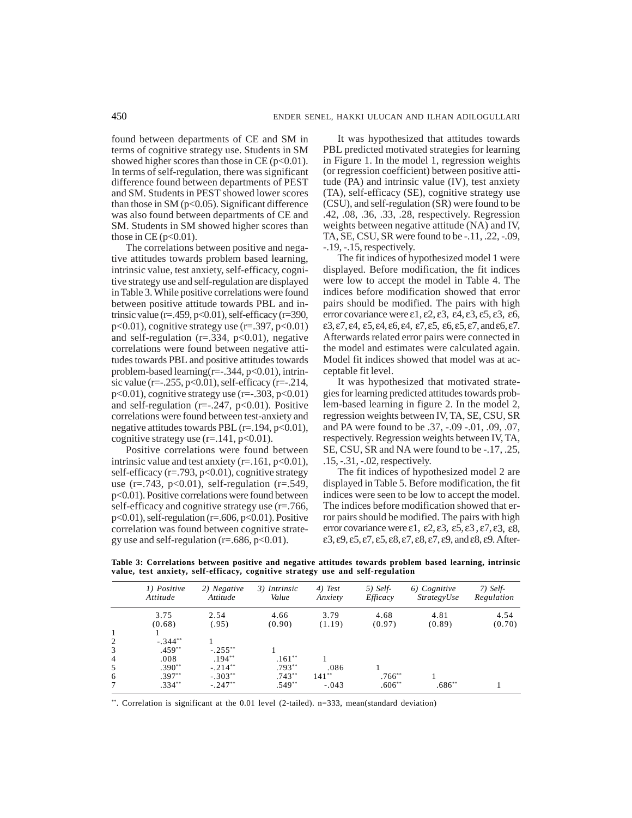found between departments of CE and SM in terms of cognitive strategy use. Students in SM showed higher scores than those in CE ( $p<0.01$ ). In terms of self-regulation, there was significant difference found between departments of PEST and SM. Students in PEST showed lower scores than those in SM ( $p<0.05$ ). Significant difference was also found between departments of CE and SM. Students in SM showed higher scores than those in CE ( $p<0.01$ ).

The correlations between positive and negative attitudes towards problem based learning, intrinsic value, test anxiety, self-efficacy, cognitive strategy use and self-regulation are displayed in Table 3. While positive correlations were found between positive attitude towards PBL and intrinsic value ( $r = 459$ ,  $p < 0.01$ ), self-efficacy ( $r = 390$ ,  $p<0.01$ ), cognitive strategy use (r=.397,  $p<0.01$ ) and self-regulation ( $r = .334$ ,  $p < 0.01$ ), negative correlations were found between negative attitudes towards PBL and positive attitudes towards problem-based learning( $r=-.344$ ,  $p<0.01$ ), intrinsic value (r= $-0.255$ , p<0.01), self-efficacy (r= $-0.214$ ,  $p<0.01$ ), cognitive strategy use (r= $-0.303$ ,  $p<0.01$ ) and self-regulation ( $r=-.247$ ,  $p<0.01$ ). Positive correlations were found between test-anxiety and negative attitudes towards PBL  $(r=.194, p<0.01)$ , cognitive strategy use  $(r=.141, p<0.01)$ .

Positive correlations were found between intrinsic value and test anxiety  $(r=.161, p<0.01)$ , self-efficacy  $(r=.793, p<0.01)$ , cognitive strategy use  $(r=.743, p<0.01)$ , self-regulation  $(r=.549,$ p<0.01). Positive correlations were found between self-efficacy and cognitive strategy use (r=.766,  $p<0.01$ ), self-regulation (r=.606,  $p<0.01$ ). Positive correlation was found between cognitive strategy use and self-regulation ( $r = .686$ ,  $p < 0.01$ ).

It was hypothesized that attitudes towards PBL predicted motivated strategies for learning in Figure 1. In the model 1, regression weights (or regression coefficient) between positive attitude (PA) and intrinsic value (IV), test anxiety (TA), self-efficacy (SE), cognitive strategy use (CSU), and self-regulation (SR) were found to be .42, .08, .36, .33, .28, respectively. Regression weights between negative attitude (NA) and IV, TA, SE, CSU, SR were found to be -.11, .22, -.09, -.19, -.15, respectively.

The fit indices of hypothesized model 1 were displayed. Before modification, the fit indices were low to accept the model in Table 4. The indices before modification showed that error pairs should be modified. The pairs with high error covariance were  $\varepsilon$ 1,  $\varepsilon$ 2,  $\varepsilon$ 3,  $\varepsilon$ 4,  $\varepsilon$ 3,  $\varepsilon$ 5,  $\varepsilon$ 3,  $\varepsilon$ 6, ε3, ε7, ε4, ε5, ε4, ε6, ε4, ε7, ε5, ε6, ε5, ε7, and ε6, ε7. Afterwards related error pairs were connected in the model and estimates were calculated again. Model fit indices showed that model was at acceptable fit level.

It was hypothesized that motivated strategies for learning predicted attitudes towards problem-based learning in figure 2. In the model 2, regression weights between IV, TA, SE, CSU, SR and PA were found to be .37, -.09 -.01, .09, .07, respectively. Regression weights between IV, TA, SE, CSU, SR and NA were found to be -.17, .25, .15, -.31, -.02, respectively.

The fit indices of hypothesized model 2 are displayed in Table 5. Before modification, the fit indices were seen to be low to accept the model. The indices before modification showed that error pairs should be modified. The pairs with high error covariance were  $\varepsilon$ 1,  $\varepsilon$ 2,  $\varepsilon$ 3,  $\varepsilon$ 5,  $\varepsilon$ 3,  $\varepsilon$ 7,  $\varepsilon$ 3,  $\varepsilon$ 8, ε3, ε9, ε5, ε7, ε5, ε8, ε7, ε8, ε7, ε9, and ε8, ε9. After-

|                | 1) Positive<br>Attitude | 2) Negative<br>Attitude | 3) Intrinsic<br>Value | 4) Test<br>Anxiety | $5)$ Self-<br>Efficacy | 6) Cognitive<br>StrategyUse | $7)$ Self-<br>Regulation |
|----------------|-------------------------|-------------------------|-----------------------|--------------------|------------------------|-----------------------------|--------------------------|
|                | 3.75<br>(0.68)          | 2.54<br>(.95)           | 4.66<br>(0.90)        | 3.79<br>(1.19)     | 4.68<br>(0.97)         | 4.81<br>(0.89)              | 4.54<br>(0.70)           |
|                |                         |                         |                       |                    |                        |                             |                          |
| 2              | $-.344**$               |                         |                       |                    |                        |                             |                          |
| 3              | $.459**$                | $-.255***$              |                       |                    |                        |                             |                          |
| $\overline{4}$ | .008                    | $.194**$                | $.161**$              |                    |                        |                             |                          |
| 5              | $.390**$                | $-.214***$              | $.793**$              | .086               |                        |                             |                          |
| 6              | $.397**$                | $-.303**$               | $.743**$              | $141***$           | $.766**$               |                             |                          |
| $\overline{7}$ | $.334**$                | $-.247**$               | $.549**$              | $-.043$            | $.606**$               | $.686**$                    |                          |

**Table 3: Correlations between positive and negative attitudes towards problem based learning, intrinsic value, test anxiety, self-efficacy, cognitive strategy use and self-regulation**

\*\*. Correlation is significant at the 0.01 level (2-tailed). n=333, mean(standard deviation)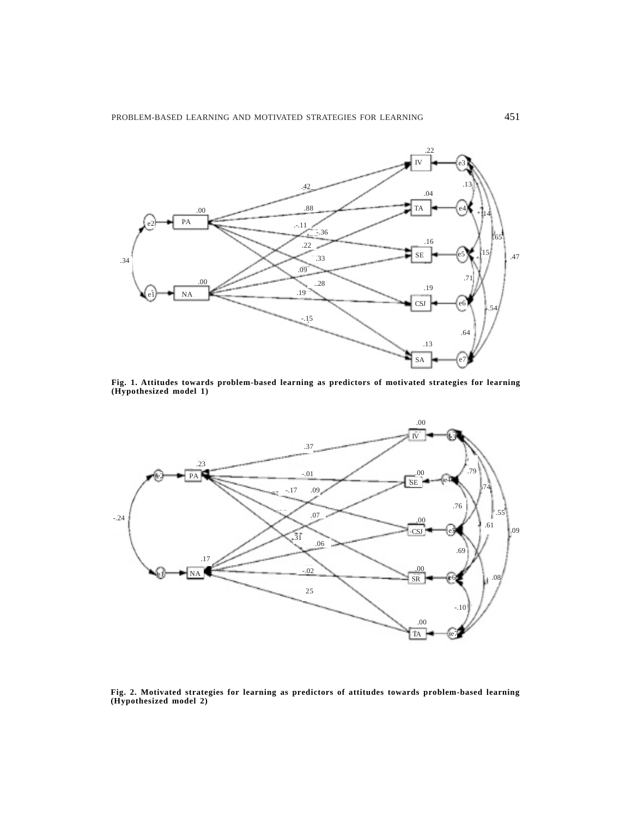

**Fig. 1. Attitudes towards problem-based learning as predictors of motivated strategies for learning (Hypothesized model 1)**



**Fig. 2. Motivated strategies for learning as predictors of attitudes towards problem-based learning (Hypothesized model 2)**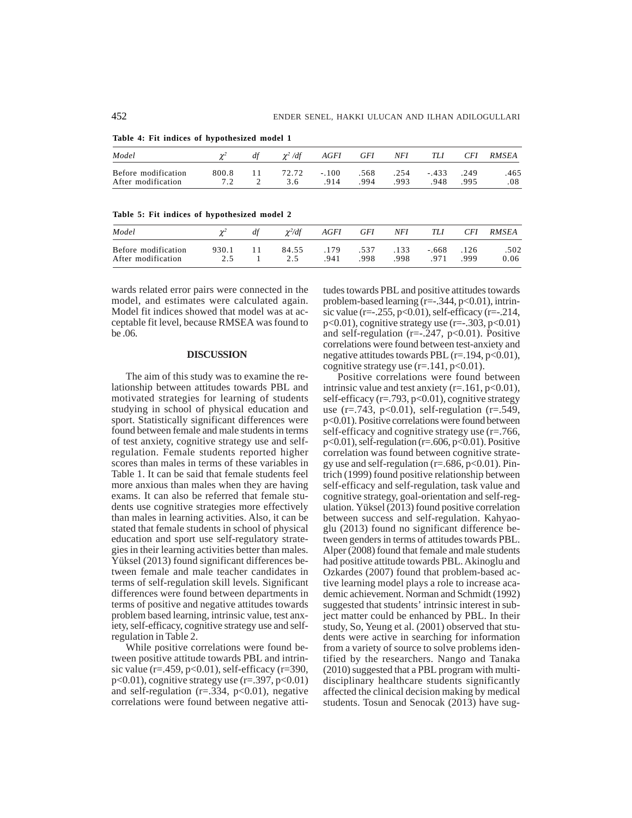| Model               |       | df | $\chi^2/df$ | AGFI    |      | GFI NFI TLI |         | <i>CFI</i> | RMSEA   |
|---------------------|-------|----|-------------|---------|------|-------------|---------|------------|---------|
| Before modification | 800.8 |    | 11 72.72    | $-.100$ | .568 | .254        | $-.433$ | .249       | .465    |
| After modification  | 7.2   |    | 3.6         | .914    | .994 | .993        | 948     | -995       | $.08\,$ |

**Table 4: Fit indices of hypothesized model 1**

**Table 5: Fit indices of hypothesized model 2**

| Model               |       | $\gamma^2/df$ | AGFI | GFI  | NFI  | TLI   | <i>CFI</i> | RMSEA |
|---------------------|-------|---------------|------|------|------|-------|------------|-------|
| Before modification | 930.1 | 84.55         | .179 | .537 | .133 | - 668 | .126       | .502  |
| After modification  | 2.5   | 2.5           | .941 | .998 | .998 | .971  | 999        | 0.06  |

wards related error pairs were connected in the model, and estimates were calculated again. Model fit indices showed that model was at acceptable fit level, because RMSEA was found to be .06.

#### **DISCUSSION**

The aim of this study was to examine the relationship between attitudes towards PBL and motivated strategies for learning of students studying in school of physical education and sport. Statistically significant differences were found between female and male students in terms of test anxiety, cognitive strategy use and selfregulation. Female students reported higher scores than males in terms of these variables in Table 1. It can be said that female students feel more anxious than males when they are having exams. It can also be referred that female students use cognitive strategies more effectively than males in learning activities. Also, it can be stated that female students in school of physical education and sport use self-regulatory strategies in their learning activities better than males. Yüksel (2013) found significant differences between female and male teacher candidates in terms of self-regulation skill levels. Significant differences were found between departments in terms of positive and negative attitudes towards problem based learning, intrinsic value, test anxiety, self-efficacy, cognitive strategy use and selfregulation in Table 2.

While positive correlations were found between positive attitude towards PBL and intrinsic value ( $r = 0.459$ ,  $p < 0.01$ ), self-efficacy ( $r = 390$ ,  $p<0.01$ , cognitive strategy use ( $r=397$ ,  $p<0.01$ ) and self-regulation ( $r = 0.334$ ,  $p < 0.01$ ), negative correlations were found between negative attitudes towards PBL and positive attitudes towards problem-based learning (r=-.344, p<0.01), intrinsic value (r= $-0.255$ , p<0.01), self-efficacy (r= $-0.214$ , p<0.01), cognitive strategy use (r=-.303, p<0.01) and self-regulation ( $r=-.247$ ,  $p<0.01$ ). Positive correlations were found between test-anxiety and negative attitudes towards PBL  $(r=.194, p<0.01)$ , cognitive strategy use  $(r=141, p<0.01)$ .

Positive correlations were found between intrinsic value and test anxiety  $(r=.161, p<0.01)$ , self-efficacy ( $r = .793$ ,  $p < 0.01$ ), cognitive strategy use  $(r=.743, p<0.01)$ , self-regulation  $(r=.549,$ p<0.01). Positive correlations were found between self-efficacy and cognitive strategy use (r=.766, p<0.01), self-regulation (r=.606, p<0.01). Positive correlation was found between cognitive strategy use and self-regulation ( $r = .686$ ,  $p < 0.01$ ). Pintrich (1999) found positive relationship between self-efficacy and self-regulation, task value and cognitive strategy, goal-orientation and self-regulation. Yüksel (2013) found positive correlation between success and self-regulation. Kahyaoglu (2013) found no significant difference between genders in terms of attitudes towards PBL. Alper (2008) found that female and male students had positive attitude towards PBL. Akinoglu and Ozkardes (2007) found that problem-based active learning model plays a role to increase academic achievement. Norman and Schmidt (1992) suggested that students' intrinsic interest in subject matter could be enhanced by PBL. In their study, So, Yeung et al. (2001) observed that students were active in searching for information from a variety of source to solve problems identified by the researchers. Nango and Tanaka (2010) suggested that a PBL program with multidisciplinary healthcare students significantly affected the clinical decision making by medical students. Tosun and Senocak (2013) have sug-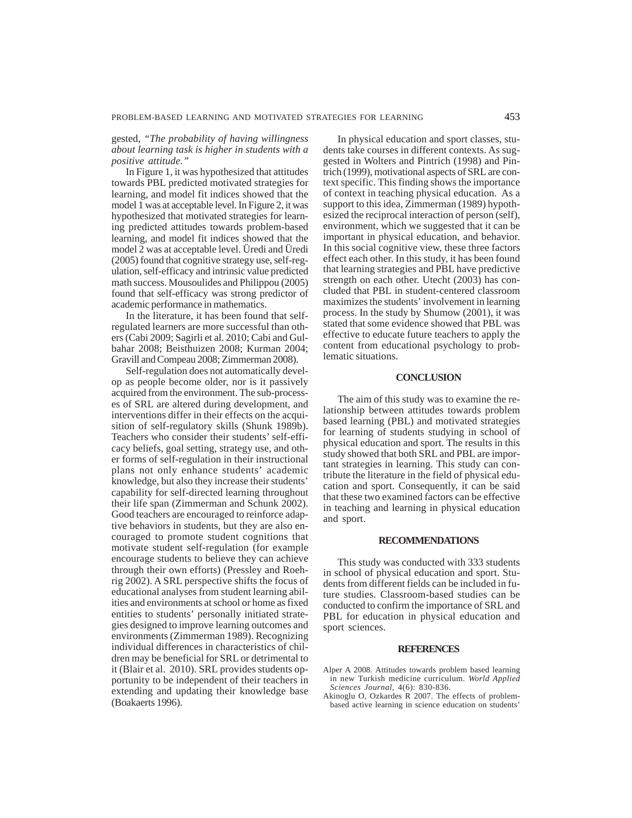## gested, *"The probability of having willingness about learning task is higher in students with a positive attitude."*

In Figure 1, it was hypothesized that attitudes towards PBL predicted motivated strategies for learning, and model fit indices showed that the model 1 was at acceptable level. In Figure 2, it was hypothesized that motivated strategies for learning predicted attitudes towards problem-based learning, and model fit indices showed that the model 2 was at acceptable level. Üredi and Üredi (2005) found that cognitive strategy use, self-regulation, self-efficacy and intrinsic value predicted math success. Mousoulides and Philippou (2005) found that self-efficacy was strong predictor of academic performance in mathematics.

In the literature, it has been found that selfregulated learners are more successful than others (Cabi 2009; Sagirli et al. 2010; Cabi and Gulbahar 2008; Beisthuizen 2008; Kurman 2004; Gravill and Compeau 2008; Zimmerman 2008).

Self-regulation does not automatically develop as people become older, nor is it passively acquired from the environment. The sub-processes of SRL are altered during development, and interventions differ in their effects on the acquisition of self-regulatory skills (Shunk 1989b). Teachers who consider their students' self-efficacy beliefs, goal setting, strategy use, and other forms of self-regulation in their instructional plans not only enhance students' academic knowledge, but also they increase their students' capability for self-directed learning throughout their life span (Zimmerman and Schunk 2002). Good teachers are encouraged to reinforce adaptive behaviors in students, but they are also encouraged to promote student cognitions that motivate student self-regulation (for example encourage students to believe they can achieve through their own efforts) (Pressley and Roehrig 2002). A SRL perspective shifts the focus of educational analyses from student learning abilities and environments at school or home as fixed entities to students' personally initiated strategies designed to improve learning outcomes and environments (Zimmerman 1989). Recognizing individual differences in characteristics of children may be beneficial for SRL or detrimental to it (Blair et al. 2010). SRL provides students opportunity to be independent of their teachers in extending and updating their knowledge base (Boakaerts 1996).

In physical education and sport classes, students take courses in different contexts. As suggested in Wolters and Pintrich (1998) and Pintrich (1999), motivational aspects of SRL are context specific. This finding shows the importance of context in teaching physical education. As a support to this idea, Zimmerman (1989) hypothesized the reciprocal interaction of person (self), environment, which we suggested that it can be important in physical education, and behavior. In this social cognitive view, these three factors effect each other. In this study, it has been found that learning strategies and PBL have predictive strength on each other. Utecht (2003) has concluded that PBL in student-centered classroom maximizes the students' involvement in learning process. In the study by Shumow (2001), it was stated that some evidence showed that PBL was effective to educate future teachers to apply the content from educational psychology to problematic situations.

### **CONCLUSION**

The aim of this study was to examine the relationship between attitudes towards problem based learning (PBL) and motivated strategies for learning of students studying in school of physical education and sport. The results in this study showed that both SRL and PBL are important strategies in learning. This study can contribute the literature in the field of physical education and sport. Consequently, it can be said that these two examined factors can be effective in teaching and learning in physical education and sport.

#### **RECOMMENDATIONS**

This study was conducted with 333 students in school of physical education and sport. Students from different fields can be included in future studies. Classroom-based studies can be conducted to confirm the importance of SRL and PBL for education in physical education and sport sciences.

### **REFERENCES**

- Alper A 2008. Attitudes towards problem based learning in new Turkish medicine curriculum. *World Applied Sciences Journal,* 4(6): 830-836.
- Akinoglu O, Ozkardes  $R$  2007. The effects of problembased active learning in science education on students'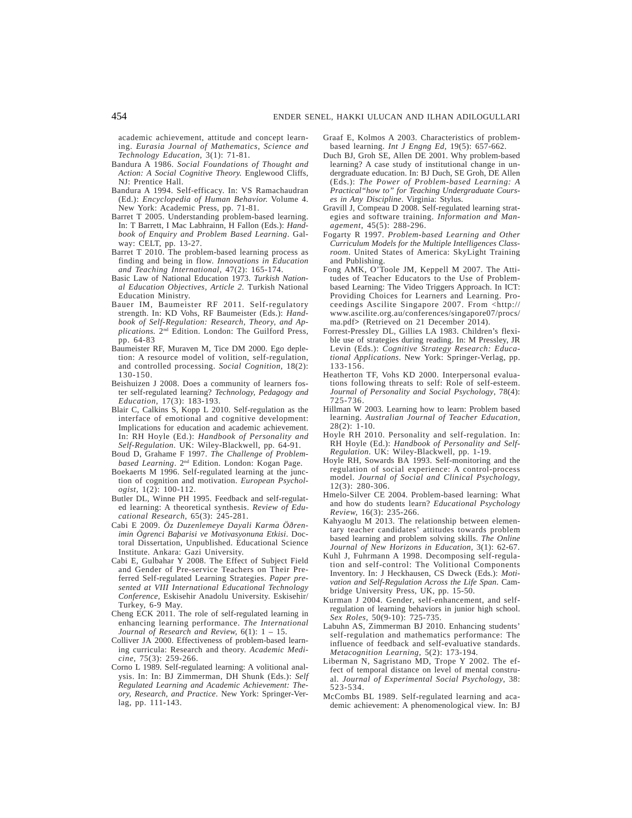academic achievement, attitude and concept learning. *Eurasia Journal of Mathematics, Science and Technology Education,* 3(1): 71-81.

- Bandura A 1986. *Social Foundations of Thought and Action: A Social Cognitive Theory.* Englewood Cliffs, NJ: Prentice Hall.
- Bandura A 1994. Self-efficacy. In: VS Ramachaudran (Ed.): *Encyclopedia of Human Behavior.* Volume 4. New York: Academic Press, pp. 71-81.
- Barret T 2005. Understanding problem-based learning. In: T Barrett, I Mac Labhrainn, H Fallon (Eds.): *Handbook of Enquiry and Problem Based Learning*. Galway: CELT, pp. 13-27.
- Barret T 2010. The problem-based learning process as finding and being in flow. *Innovations in Education and Teaching International,* 47(2): 165-174.
- Basic Law of National Education 1973. *Turkish National Education Objectives, Article 2.* Turkish National Education Ministry.
- Bauer IM, Baumeister RF 2011. Self-regulatory strength. In: KD Vohs, RF Baumeister (Eds.): *Handbook of Self-Regulation: Research, Theory, and Applications.* 2nd Edition. London: The Guilford Press, pp. 64-83
- Baumeister RF, Muraven M, Tice DM 2000. Ego depletion: A resource model of volition, self-regulation, and controlled processing. *Social Cognition,* 18(2): 130-150.
- Beishuizen J 2008. Does a community of learners foster self-regulated learning? *Technology, Pedagogy and Education,* 17(3): 183-193.
- Blair C, Calkins S, Kopp L 2010. Self-regulation as the interface of emotional and cognitive development: Implications for education and academic achievement. In: RH Hoyle (Ed.): *Handbook of Personality and Self-Regulation*. UK: Wiley-Blackwell, pp. 64-91.
- Boud D, Grahame F 1997. *The Challenge of Problembased Learning*. 2nd Edition. London: Kogan Page.
- Boekaerts M 1996. Self-regulated learning at the junction of cognition and motivation. *European Psychologist,* 1(2): 100-112.
- Butler DL, Winne PH 1995. Feedback and self-regulated learning: A theoretical synthesis. *Review of Educational Research,* 65(3): 245-281.
- Cabi E 2009. *Öz Duzenlemeye Dayali Karma Öðrenimin Ögrenci Baþarisi ve Motivasyonuna Etkisi*. Doctoral Dissertation, Unpublished. Educational Science Institute. Ankara: Gazi University.
- Cabi E, Gulbahar Y 2008. The Effect of Subject Field and Gender of Pre-service Teachers on Their Preferred Self-regulated Learning Strategies. *Paper presented at VIII International Educational Technology Conference,* Eskisehir Anadolu University. Eskisehir/ Turkey, 6-9 May.
- Cheng ECK 2011. The role of self-regulated learning in enhancing learning performance. *The International Journal of Research and Review,* 6(1): 1 – 15.
- Colliver JA 2000. Effectiveness of problem-based learning curricula: Research and theory. *Academic Medicine,* 75(3): 259-266.
- Corno L 1989. Self-regulated learning: A volitional analysis. In: In: BJ Zimmerman, DH Shunk (Eds.): *Self Regulated Learning and Academic Achievement: Theory, Research, and Practice*. New York: Springer-Verlag, pp. 111-143.
- Graaf E, Kolmos A 2003. Characteristics of problembased learning. *Int J Engng Ed,* 19(5): 657-662.
- Duch BJ, Groh SE, Allen DE 2001. Why problem-based learning? A case study of institutional change in undergraduate education. In: BJ Duch, SE Groh, DE Allen (Eds.): *The Power of Problem-based Learning: A Practical"how to" for Teaching Undergraduate Courses in Any Discipline*. Virginia: Stylus.
- Gravill J, Compeau D 2008. Self-regulated learning strategies and software training. *Information and Management*, 45(5): 288-296.
- Fogarty R 1997. *Problem-based Learning and Other Curriculum Models for the Multiple Intelligences Classroom*. United States of America: SkyLight Training and Publishing.
- Fong AMK, O'Toole JM, Keppell M 2007. The Attitudes of Teacher Educators to the Use of Problembased Learning: The Video Triggers Approach. In ICT: Providing Choices for Learners and Learning. Proceedings Ascilite Singapore 2007. From <http:// www.ascilite.org.au/conferences/singapore07/procs/ ma.pdf**>** (Retrieved on 21 December 2014).
- Forrest-Pressley DL, Gillies LA 1983. Children's flexible use of strategies during reading. In: M Pressley, JR Levin (Eds.): *Cognitive Strategy Research: Educational Applications*. New York: Springer-Verlag, pp. 133-156.
- Heatherton TF, Vohs KD 2000. Interpersonal evaluations following threats to self: Role of self-esteem. *Journal of Personality and Social Psychology*, 78(4): 725-736.
- Hillman W 2003. Learning how to learn: Problem based learning. *Australian Journal of Teacher Education,* 28(2): 1-10.
- Hoyle RH 2010. Personality and self-regulation. In: RH Hoyle (Ed.): *Handbook of Personality and Self-Regulation*. UK: Wiley-Blackwell, pp. 1-19.
- Hoyle RH, Sowards BA 1993. Self-monitoring and the regulation of social experience: A control-process model. *Journal of Social and Clinical Psychology*, 12(3): 280-306.
- Hmelo-Silver CE 2004. Problem-based learning: What and how do students learn? *Educational Psychology Review,* 16(3): 235-266.
- Kahyaoglu M 2013. The relationship between elementary teacher candidates' attitudes towards problem based learning and problem solving skills. *The Online Journal of New Horizons in Education,* 3(1): 62-67.
- Kuhl J, Fuhrmann A 1998. Decomposing self-regulation and self-control: The Volitional Components Inventory. In: J Heckhausen, CS Dweck (Eds.): *Motivation and Self-Regulation Across the Life Span*. Cambridge University Press, UK, pp. 15-50.
- Kurman J 2004. Gender, self-enhancement, and selfregulation of learning behaviors in junior high school. *Sex Roles,* 50(9-10): 725-735.
- Labuhn AS, Zimmerman BJ 2010. Enhancing students' self-regulation and mathematics performance: The influence of feedback and self-evaluative standards. *Metacognition Learning*, 5(2): 173-194.
- Liberman N, Sagristano MD, Trope Y 2002. The effect of temporal distance on level of mental construal. *Journal of Experimental Social Psychology*, 38: 523-534.
- McCombs BL 1989. Self-regulated learning and academic achievement: A phenomenological view. In: BJ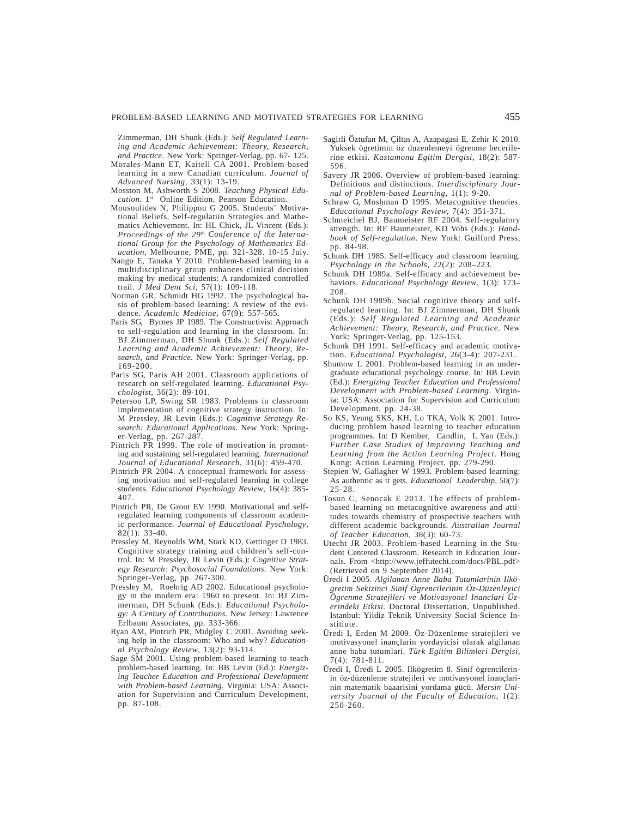Zimmerman, DH Shunk (Eds.): *Self Regulated Learning and Academic Achievement: Theory, Research, and Practice*. New York: Springer-Verlag, pp. 67- 125.

- Morales-Mann ET, Kaitell CA 2001. Problem-based learning in a new Canadian curriculum. *Journal of Advanced Nursing,* 33(1): 13-19.
- Mosston M, Ashworth S 2008. *Teaching Physical Education*. 1st Online Edition. Pearson Education.
- Mousoulides N, Philippou G 2005. Students' Motivational Beliefs, Self-regulatiin Strategies and Mathematics Achievement. In: HL Chick, JL Vincent (Eds.): Proceedings of the 29<sup>th</sup> Conference of the Interna*tional Group for the Psychology of Mathematics Education*, Melbourne, PME, pp. 321-328. 10-15 July.
- Nango E, Tanaka Y 2010. Problem-based learning in a multidisciplinary group enhances clinical decision making by medical students: A randomized controlled trail. *J Med Dent Sci*, 57(1): 109-118.
- Norman GR, Schmidt HG 1992. The psychological basis of problem-based learning: A review of the evidence. *Academic Medicine,* 67(9): 557-565.
- Paris SG, Byrnes JP 1989. The Constructivist Approach to self-regulation and learning in the classroom. In: BJ Zimmerman, DH Shunk (Eds.): *Self Regulated Learning and Academic Achievement: Theory, Research, and Practice*. New York: Springer-Verlag, pp. 169-200.
- Paris SG, Paris AH 2001. Classroom applications of research on self-regulated learning. *Educational Psychologist,* 36(2): 89-101.
- Peterson LP, Swing SR 1983. Problems in classroom implementation of cognitive strategy instruction. In: M Pressley, JR Levin (Eds.): *Cognitive Strategy Research: Educational Applications*. New York: Springer-Verlag, pp. 267-287.
- Pintrich PR 1999. The role of motivation in promoting and sustaining self-regulated learning. *International Journal of Educational Research*, 31(6): 459-470.
- Pintrich PR 2004. A conceptual framework for assessing motivation and self-regulated learning in college students. *Educational Psychology Review*, 16(4): 385- 407.
- Pintrich PR, De Groot EV 1990. Motivational and selfregulated learning components of classroom academic performance. *Journal of Educational Pyschology*, 82(1): 33-40.
- Pressley M, Reynolds WM, Stark KD, Gettinger D 1983. Cognitive strategy training and children's self-control. In: M Pressley, JR Levin (Eds.): *Cognitive Strategy Research: Psychosocial Foundations*. New York: Springer-Verlag, pp. 267-300.
- Pressley M, Roehrig AD 2002. Educational psychology in the modern era: 1960 to present. In: BJ Zimmerman, DH Schunk (Eds.): *Educational Psychology: A Century of Contributions*. New Jersey: Lawrence Erlbaum Associates, pp. 333-366.
- Ryan AM, Pintrich PR, Midgley C 2001. Avoiding seeking help in the classroom: Who and why? *Educational Psychology Review*, 13(2): 93-114.
- Sage SM 2001. Using problem-based learning to teach problem-based learning. In: BB Levin (Ed.): *Energizing Teacher Education and Professional Development with Problem-based Learning*. Virginia: USA: Association for Supervision and Curriculum Development, pp. 87-108.
- Sagirli Öztufan M, Çiltas A, Azapagasi E, Zehir K 2010. Yuksek ögretimin öz duzenlemeyi ögrenme becerilerine etkisi. *Kastamonu Egitim Dergisi*, 18(2): 587- 596.
- Savery JR 2006. Overview of problem-based learning: Definitions and distinctions. *Interdisciplinary Journal of Problem-based Learning,* 1(1): 9-20.
- Schraw G, Moshman D 1995. Metacognitive theories. *Educational Psychology Review,* 7(4): 351-371.
- Schmeichel BJ, Baumeister RF 2004. Self-regulatory strength. In: RF Baumeister, KD Vohs (Eds.): *Handbook of Self-regulation*. New York: Guilford Press, pp. 84-98.
- Schunk DH 1985. Self-efficacy and classroom learning. *Psychology in the Schools*, 22(2): 208–223.
- Schunk DH 1989a. Self-efficacy and achievement behaviors. *Educational Psychology Review*, 1(3): 173– 208.
- Schunk DH 1989b. Social cognitive theory and selfregulated learning. In: BJ Zimmerman, DH Shunk (Eds.): *Self Regulated Learning and Academic Achievement: Theory, Research, and Practice*. New York: Springer-Verlag, pp. 125-153.
- Schunk DH 1991. Self-efficacy and academic motivation. *Educational Psychologist*, 26(3-4): 207-231.
- Shumow L 2001. Problem-based learning in an undergraduate educational psychology course. In: BB Levin (Ed.): *Energizing Teacher Education and Professional Development with Problem-based Learning*. Virginia: USA: Association for Supervision and Curriculum Development, pp. 24-38.
- So KS, Yeung SKS, KH, Lo TKA, Volk K 2001. Introducing problem based learning to teacher education programmes. In: D Kember, Candlin, L Yan (Eds.): *Further Case Studies of Improving Teaching and Learning from the Action Learning Project.* Hong Kong: Action Learning Project, pp. 279-290.
- Stepien W, Gallagher W 1993. Problem-based learning: As authentic as it gets. *Educational Leadership,* 50(7): 25-28.
- Tosun C, Senocak E 2013. The effects of problembased learning on metacognitive awareness and attitudes towards chemistry of prospective teachers with different academic backgrounds. *Australian Journal of Teacher Education,* 38(3): 60-73.
- Utecht JR 2003. Problem-based Learning in the Student Centered Classroom. Research in Education Journals. From <http://www.jeffutecht.com/docs/PBL.pdf> (Retrieved on  $\hat{9}$  September 2014).
- Üredi I 2005. *Algilanan Anne Baba Tutumlarinin Ilkögretim Sekizinci Sinif Ögrencilerinin Öz-Düzenleyici Ögrenme Stratejileri ve Motivasyonel Inanclari Üzerindeki Etkisi.* Doctoral Dissertation, Unpublished. Istanbul: Yildiz Teknik University Social Science Institiute.
- Üredi I, Erden M 2009. Öz-Düzenleme stratejileri ve motivasyonel inançlarin yordayicisi olarak algilanan anne baba tutumlari. *Türk Egitim Bilimleri Dergisi,* 7(4): 781-811.
- Üredi I, Üredi L 2005. Ilkögretim 8. Sinif ögrencilerinin öz-düzenleme stratejileri ve motivasyonel inançlarinin matematik baaarisini yordama gücü. *Mersin University Journal of the Faculty of Education*, 1(2): 250-260.